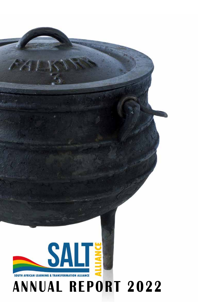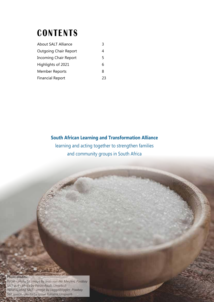# **CONTENTS**

| <b>About SALT Alliance</b>   |    |
|------------------------------|----|
| <b>Outgoing Chair Report</b> | 4  |
| Incoming Chair Report        | 5  |
| Highlights of 2021           | 6  |
| <b>Member Reports</b>        | 8  |
| <b>Financial Report</b>      | 23 |

### **South African Learning and Transformation Alliance**

learning and acting together to strengthen families and community groups in South Africa

**CONTRACTOR** 

#### **Photo credits:**

 *Potjie - photo by Image by Jean van der Meulen, Pixabay SALT pot - photo by Faran Raufi, Unsplash Hand holding SALT - Image by LoggaWiggler, Pixabay Salt spoon - photo by Jason Tuinstra,Unsplash*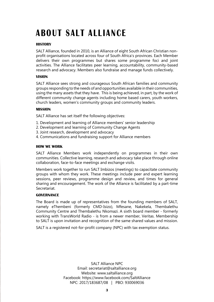# **ABOUT SALT ALLIANCE**

#### **HISTORY**

SALT Alliance, founded in 2010, is an Alliance of eight South African Christian nonprofit organisations located across four of South Africa's provinces. Each Member delivers their own programmes but shares some programme foci and joint activities. The Alliance facilitates peer learning, accountability, community-based research and advocacy. Members also fundraise and manage funds collectively.

#### **VISION**

SALT Alliance sees strong and courageous South African families and community groups responding to the needs of and opportunities available in their communities, using the many assets that they have. This is being achieved, in part, by the work of different community change agents including home based carers, youth workers, church leaders, women's community groups and community leaders.

#### **MISSION**

SALT Alliance has set itself the following objectives:

- 1. Development and learning of Alliance members' senior leadership
- 2. Development and learning of Community Change Agents
- 3. Joint research, development and advocacy
- 4. Communications and fundraising support for Alliance members

#### **HOW WE WORK**

SALT Alliance Members work independently on programmes in their own communities. Collective learning, research and advocacy take place through online collaboration, face-to-face meetings and exchange visits.

Members work together to run SALT Imbizos (meetings) to capacitate community groups with whom they work. These meetings include peer and expert learning sessions, peer reviews, programme design and review, and times for general sharing and encouragement. The work of the Alliance is facilitated by a part-time Secretariat.

#### **GOVERNANCE**

The Board is made up of representatives from the founding members of SALT, namely eThembeni (formerly CMD-Isizo), Mfesane, Nakekela, Thembalethu Community Centre and Thembalethu Nkomazi. A sixth board member - formerly working with TransWorld Radio - is from a newer member, Veritas. Membership to SALT is upon invitation and recognition of the same shared values and mission.

SALT is a registered not-for-profit company (NPC) with tax exemption status.

SALT Alliance NPC Email: secretariat@saltalliance.org Website: www.saltalliance.org Facebook: https://www.facebook.com/SaltAlliance NPC: 2017/183687/08 | PBO: 930069036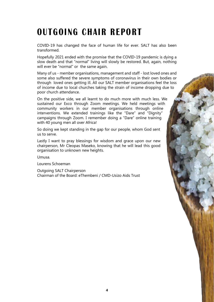# **OUTGOING CHAIR REPORT**

COVID-19 has changed the face of human life for ever. SALT has also been transformed.

Hopefully 2021 ended with the promise that the COVID-19 pandemic is dying a slow death and that "normal" living will slowly be restored. But, again, nothing will ever be "normal" or the same again.

Many of us - member organisations, management and staff - lost loved ones and some also suffered the severe symptoms of coronavirus in their own bodies or through loved ones getting ill. All our SALT member organisations feel the loss of income due to local churches taking the strain of income dropping due to poor church attendance.

On the positive side, we all learnt to do much more with much less. We sustained our Exco through Zoom meetings. We held meetings with community workers in our member organisations through online interventions. We extended trainings like the "Dare" and "Dignity" campaigns through Zoom. I remember doing a "Dare" online training with 40 young men all over Africa!

So doing we kept standing in the gap for our people, whom God sent us to serve.

Lastly I want to pray blessings for wisdom and grace upon our new chairperson, Mr Cleopas Maseko, knowing that he will lead this good organisation to unknown new heights.

Umusa.

Lourens Schoeman

Outgoing SALT Chairperson Chairman of the Board: eThembeni / CMD-Usizo Aids Trust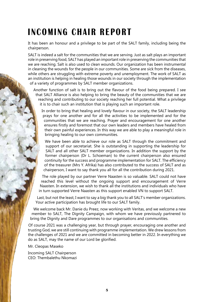# **INCOMING CHAIR REPORT**

It has been an honour and a privilege to be part of the SALT family, including being the chairperson.

SALT is indeed a salt for the communities that we are serving. Just as salt plays an important role in preserving food, SALT has played an important role in preserving the communities that we are reaching. Salt is also used to clean wounds. Our organization has been instrumental in cleaning the wounds for the people in our communities. Some are sick from the diseases, while others are struggling with extreme poverty and unemployment. The work of SALT as an institution is helping in healing those wounds in our society through the implementation of a variety of programmes by SALT member organizations.

Another function of salt is to bring out the flavour of the food being prepared. I see that SALT Alliance is also helping to bring the beauty of the communities that we are reaching and contributing to our society reaching her full potential. What a privilege it is to chair such an institution that is playing such an important role.

In order to bring that healing and lovely flavour in our society, the SALT leadership prays for one another and for all the activities to be implemented and for the communities that we are reaching. Prayer and encouragement for one another ensures firstly and foremost that our own leaders and members have healed from their own painful experiences. In this way we are able to play a meaningful role in bringing healing to our own communities.

We have been able to achieve our role as SALT through the commitment and support of our secretariat. She is outstanding in supporting the leadership for SALT and all other SALT member organizations. In addition the support by the former chairperson (Dr L. Schoeman) to the current chairperson also ensured continuity for the success and programme implementation for SALT. The efficiency of the treasurer (Mrs Y. Afrika) has also contributed to the success of SALT and as chairperson, I want to say thank you all for all the contribution during 2021.

The role played by our partner Verre Naasten is so valuable. SALT could not have reached this level without the ongoing support and encouragement of Verre Naasten. In extension, we wish to thank all the institutions and individuals who have in turn supported Verre Naasten as this support enabled VN to support SALT.

Last, but not the least, I want to say a big thank you to all SALT's member organizations. Your active participation has brought life to our SALT family.

We welcome back Mr. Danie du Preez, now working with Veritas, and we welcome a new member to SALT, The Dignity Campaign, with whom we have previously partnered to bring the Dignity and Dare programmes to our organisations and communities.

Of course 2021 was a challenging year, but through prayer, encouraging one another and trusting God, we are still continuing with programme implementation. We drew lessons from the challenges of 2021 and we are committed in becoming better in 2022. In everything we do as SALT, may the name of our Lord be glorified.

Mr. Cleopas Maseko

Incoming SALT Chairperson CEO: Thembalethu Nkomazi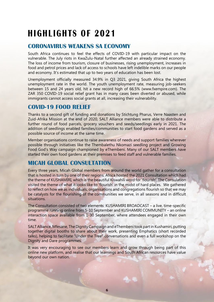# **HIGHLIGHTS OF 2021**

### **CORONAVIRUS WEAKENS SA ECONOMY**

South Africa continues to feel the effects of COVID-19 with particular impact on the vulnerable. The July riots in KwaZulu-Natal further affected an already strained economy. The loss of income from tourism, closure of businesses, rising unemployment, increases in food and petrol prices and lack of access to schools have left indelible marks on our people and economy. It's estimated that up to two years of education has been lost.

Unemployment officially measured 34.9% in Q3 2021, giving South Africa the highest unemployment rate in the world. The youth unemployment rate, measuring job-seekers between 15 and 24 years old, hit a new record high of 66.5% (www.fxempire.com). The ZAR 350 COVID-19 social relief grant has in many cases been diverted or abused, while immigrants cannot access social grants at all, increasing their vulnerability.

### **COVID-19 FOOD RELIEF**

Thanks to a second gift of funding and donations by Stichtung Pharus, Verre Naasten and Zuid-Afrika Mission at the end of 2020, SALT Alliance members were able to distribute a further round of food parcels, grocery vouchers and seeds/seedlings early in 2021. The addition of seedlings enabled families/communities to start food gardens and served as a possible source of income at the same time.

Member organisations continue to raise awareness of needs and support families wherever possible through initiatives like the Thembalethu Nkomazi seedling project and Growing Food God's Way campaign championed by eThembeni. Many of our SALT members have started their own food gardens at their premises to feed staff and vulnerable families.

### **MICAH GLOBAL CONSULTATION**

Every three years, Micah Global members from around the world gather for a consultation that is hosted in turn by one of their regions. Africa hosted the 2021 Consultation which had the theme of KUSHAMIRI, which is the beautiful Kiswahili word for 'flourish'. The Consulation visited the theme of what it looks like to 'flourish' in the midst of hard places. We gathered to reflect on how we as individuals, organisations and congregations flourish so that we may be catalysts for the flourishing of the communities we serve, in all seasons and in difficult situations.

The Consultation consisted of two elements: KUSHAMIRI BROADCAST – a live, time-specific programme running online from 5-10 September and KUSHAMIRI COMMUNITY – an online interaction space available from 1-30 September, where attendees engaged in their own time.

SALT Alliance, Mfesane, The Dignity Campaign and eThembeni took part in Kushamiri, putting together digital booths to share about their work, presenting Emphatics (short recorded talks), helping to facilitate "Under the Tree" conversations and even a full workshop on the Dignity and Dare programmes.

It was very encouraging to see our members learn and grow through being part of this online new platform, and realise that our learnings and South African resources have value beyond our own nation.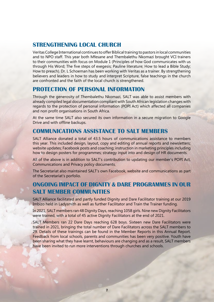### **STRENGTHENING LOCAL CHURCH**

Veritas College International continues to offer Biblical training to pastors in local communities and to NPO staff. This year both Mfesane and Thembalethu Nkomazi brought VCI trainers to their communities with focus on Module 1 (Principles of how God communicates with us through His Word; The five steps of exegesis; Pauline literature; How to lead a Bible Study; How to preach). Dr. L Schoeman has been working with Veritas as a trainer. By strengthening believers and leaders in how to study and interpret Scripture, false teachings in the church are confronted and the faith of the local church is strengthened.

### **PROTECTION OF PERSONAL INFORMATION**

Through the generosity of Thembalethu Nkomazi, SALT was able to assist members with already compiled legal documentation compliant with South African legislation changes with regards to the protection of personal information (POPI Act) which affected all companies and non profit organisations in South Africa.

At the same time SALT also secured its own information in a secure migration to Google Drive and with offline backups.

### **COMMUNICATIONS ASSISTANCE TO SALT MEMBERS**

SALT Alliance donated a total of 43.5 hours of communications assistance to members this year. This included design, layout, copy and editing of annual reports and newsletters; website updates; Facebook posts and coaching; instruction in marketing principles including how to design posters for programmes; strategy input into and design of HR documents.

All of the above is in addition to SALT's contribution to updating our member's POPI Act, Communications and Privacy policy documents.

The Secretariat also maintained SALT's own Facebook, website and communications as part of the Secretariat's porfolio.

### **ONGOING IMPACT OF DIGNITY & DARE PROGRAMMES IN OUR SALT MEMBER COMMUNITIES**

SALT Alliance facilitated and partly funded Dignity and Dare Facilitator training at our 2019 Imbizo held in Ladysmith as well as further Facilitator and Train the Trainer funding.

In 2021, SALT members ran 48 Dignity Days, reaching 1058 girls. Nine new Dignity Facilitators were trained, with a total of 45 active Dignity Facilitators at the end of 2021.

SALT Members ran 22 Dare Days reaching 628 boys. Sixteen new Dare Facilitators were trained in 2021, bringing the total number of Dare Facilitators across the SALT members to 29. Details of these trainings can be found in the Member Reports in this Annual Report. Feedback from local schools, parents and communities has been very positive. Youth have been sharing what they have learnt, behaviours are changing and as a result, SALT members have been invited to run more interventions through churches and schools.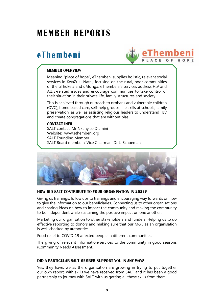### **MEMBER REPORTS**

### **eThembeni**



#### **MEMBER OVERVIEW**

Meaning "place of hope", eThembeni supplies holistic, relevant social services in KwaZulu-Natal, focusing on the rural, poor communities of the uThukela and uMsinga. eThembeni's services address HIV and AIDS-related issues and encourage communities to take control of their situation in their private life, family structures and society.

This is achieved through outreach to orphans and vulnerable children (OVC), home based care, self-help groups, life skills at schools, family preservation, as well as assisting religious leaders to understand HIV and create congregations that are without bias.

#### **CONTACT INFO**

SALT contact: Mr Nkanyiso Dlamini Website: www.ethembeni.org SALT Founding Member SALT Board member / Vice Chairman: Dr L. Schoeman



#### **HOW DID SALT CONTRIBUTE TO YOUR ORGANISATION IN 2021?**

Giving us trainings, follow ups to trainings and encouraging way forwards on how to give the information to our beneficiaries. Connecting us to other organisations and sharing ideas on how to impact the community and making the community to be independent while sustaining the positive impact on one another.

Marketing our organisation to other stakeholders and funders. Helping us to do effective reporting to donors and making sure that our M&E as an organisation is well-checked by authorities.

Food relief to COVID-19 affected people in different communities.

The giving of relevant information/services to the community in good seasons (Community Needs Assessment).

#### **DID A PARTICULAR SALT MEMBER SUPPORT YOU IN ANY WAY?**

Yes, they have, we as the organisation are growing in trying to put together our own report, with skills we have received from SALT and it has been a good partnership to journey with SALT with us getting all these skills from them.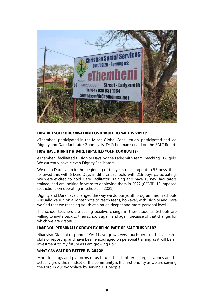

#### **HOW DID YOUR ORGANISATION CONTRIBUTE TO SALT IN 2021?**

eThembeni participated in the Micah Global Consultation, participated and led Dignity and Dare facilitator Zoom calls. Dr Schoeman served on the SALT Board.

#### **HOW HAVE DIGNITY & DARE IMPACTED YOUR COMMUNITY?**

eThembeni facilitated 6 Dignity Days by the Ladysmith team, reaching 108 girls. We currently have eleven Dignity Facilitators.

We ran a Dare camp in the beginning of the year, reaching out to 56 boys, then followed this with 6 Dare Days in different schools, with 216 boys participating. We were excited to hold Dare Facilitator Training and have 16 new facilitators trained, and are looking forward to deploying them in 2022 (COVID-19 imposed restrictions on operating in schools in 2021).

Dignity and Dare have changed the way we do our youth programmes in schools - usually we run on a lighter note to reach teens, however, with Dignity and Dare we find that we reaching youth at a much deeper and more personal level.

The school teachers are seeing positive change in their students. Schools are willing to invite back to their schools again and again because of that change, for which we are grateful.

#### **HAVE YOU PERSONALLY GROWN BY BEING PART OF SALT THIS YEAR?**

Nkanyiso Dlamini responds: "Yes I have grown very much because I have learnt skills of reporting and have been encouraged on personal training as it will be an investment to my future as I am growing up."

#### **WHAT CAN SALT DO BETTER IN 2022?**

More trainings and platforms of us to uplift each other as organisations and to actually grow the mindset of the community is the first priority as we are serving the Lord in our workplace by serving His people.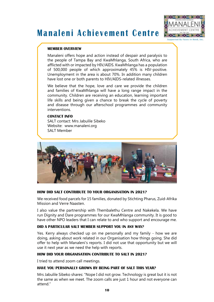# **Manaleni Achievement Centre**



Sunnorted Ry Faces in Need.

#### **MEMBER OVERVIEW**

Manaleni offers hope and action instead of despair and paralysis to the people of Tampa Bay and KwaMhlanga, South Africa, who are afflicted with or impacted by HIV/AIDS. KwaMhlanga has a population of 500,000 people of which approximately 45% is HIV-positive. Unemployment in the area is about 70%. In addition many children have lost one or both parents to HIV/AIDS-related illnesses.

We believe that the hope, love and care we provide the children and families of KwaMhlanga will have a long range impact in the community. Children are receiving an education, learning important life skills and being given a chance to break the cycle of poverty and disease through our afterschool programmes and community interventions.

#### **CONTACT INFO**

SALT contact: Mrs Jabulile Sibeko Website: www.manaleni.org SALT Member



#### **HOW DID SALT CONTRIBUTE TO YOUR ORGANISATION IN 2021?**

We received food parcels for 15 families, donated by Stichting Pharus, Zuid-Afrika Mission and Verre Naasten.

I also value the partnership with Thembalethu Centre and Nakekela. We have run Dignity and Dare programmes for our KwaMhlanga community. It is good to have other NPO leaders that I can relate to and who support and encourage me.

#### **DID A PARTICULAR SALT MEMBER SUPPORT YOU IN ANY WAY?**

Yes. Kerry always checked up on me personally and my family - how we are doing, asking about work related in our Organisation how things going. She did offer to help with Manaleni's reports. I did not use that opportunity but we will use it next year as we need the help with reports.

#### **HOW DID YOUR ORGANISATION CONTRIBUTE TO SALT IN 2021?**

I tried to attend zoom call meetings.

#### **HAVE YOU PERSONALLY GROWN BY BEING PART OF SALT THIS YEAR?**

Mrs Jabulile Sibeko shares: "Nope I did not grow. Technology is great but it is not the same as when we meet. The zoom calls are just 1 hour and not everyone can attend."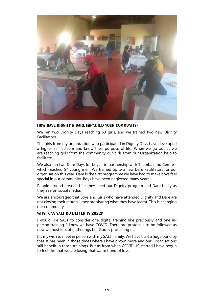

#### **HOW HAVE DIGNITY & DARE IMPACTED YOUR COMMUNITY?**

We ran two Dignity Days reaching 63 girls, and we trained two new Dignity Facilitators.

The girls from my organization who participated in Dignity Days have developed a higher self esteem and know their purpose of life. When we go out as we are reaching girls from the community our girls from our Organization help to facilitate.

We also ran two Dare Days for boys - in partnership with Thembalethu Centre which reached 57 young men. We trained up two new Dare Facilitators for our organisation this year. Dare is the first programme we have had to make boys feel special in our community. Boys have been neglected many years.

People around area and far they need our Dignity program and Dare badly as they see on social media.

We are encouraged that Boys and Girls who have attended Dignity and Dare are not closing their mouth - they are sharing what they have learnt. This is changing our community.

#### **WHAT CAN SALT DO BETTER IN 2022?**

I would like SALT to consider one digital training like previously and one inperson training. I know we have COVID. There are protocols to be followed as now we host lots of gatherings but God is protecting us.

It's my wish to meet in person with my SALT family. We have built a huge bond by that. It has been in those times where I have grown more and our Organisations still benefit in those trainings. But as from when COVID-19 started I have begun to feel like that we are losing that warm bond of love.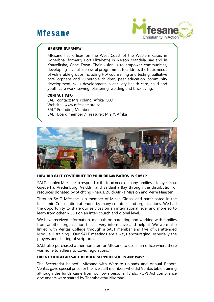### **Mfesane**



#### **MEMBER OVERVIEW**

Mfesane has offices on the West Coast of the Western Cape, in Gqherbha (formerly Port Elizabeth) in Nelson Mandela Bay and in Khayelitsha, Cape Town. Their vision is to empower communities, developing several successful programmes to address the basic needs of vulnerable groups including HIV counselling and testing, palliative care, orphans and vulnerable children, peer education, community development, skills development in ancillary health care, child and youth care work, sewing, plastering, welding and bricklaying.

#### **CONTACT INFO**

SALT contact: Mrs Yolandi Afrika, CEO Website: www.mfesane.org.za SALT Founding Member SALT Board member / Treasurer: Mrs Y. Afrika



#### **HOW DID SALT CONTRIBUTE TO YOUR ORGANISATION IN 2021?**

SALT enabled Mfesane to respond to the food need of many families in Khayelitsha, Gqeberha, Vredenburg, Velddrif and Saldanha Bay through the distribution of resources donated by Stichting Pharus, Zuid-Afrika Mission and Verre Naasten.

Through SALT Mfesane is a member of Micah Global and participated in the Kushamiri Consultation attended by many countries and organizations. We had the opportunity to share our services on an international level and more so to learn from other NGOs on an inter-church and global level.

We have received information, manuals on parenting and working with families from another organization that is very informative and helpful. We were also linked with Veritas College through a SALT member and five of us attended Module 1 training. Our SALT meetings are always encouraging, especially the prayers and sharing of scriptures.

SALT also purchased a thermometer for Mfesane to use in an office where there was none to adhere to Covid regulations.

#### **DID A PARTICULAR SALT MEMBER SUPPORT YOU IN ANY WAY?**

The Secretariat helped Mfesane with Website uploads and Annual Report. Veritas gave special price for the five staff members who did Veritas bible training although the funds came from our own personal funds. POPI Act compliance documents were shared by Thembalethu Nkomazi.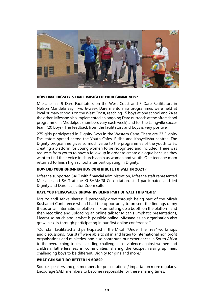

#### **HOW HAVE DIGNITY & DARE IMPACTED YOUR COMMUNITY?**

Mfesane has 9 Dare Facilitators on the West Coast and 3 Dare Facilitators in Nelson Mandela Bay. Two 6-week Dare mentorship programmes were held at local primary schools on the West Coast, reaching 15 boys at one school and 24 at the other. Mfesane also implemented an ongoing Dare outreach at the afterschool programme in Middelpos (numbers vary each week) and for the Laingville soccer team (20 boys). The feedback from the facilitators and boys is very positive.

275 girls participated in Dignity Days in the Western Cape. There are 23 Dignity Facilitators spread across the Youth Cafes, Risiha and Khayelitsha centres. The Dignity programme gives so much value to the programmes of the youth cafés, creating a platform for young women to be recognized and included. There was requests from youth to have a follow up in order to create dialogue because they want to find their voice in church again as women and youth. One teenage mom returned to finish high school after participating in Dignity.

#### **HOW DID YOUR ORGANISATION CONTRIBUTE TO SALT IN 2021?**

Mfesane supported SALT with financial administration, Mfesane staff represented Mfesane and SALT at the KUSHAMIRI Consultation, staff participated and led Dignity and Dare facilitator Zoom calls.

#### **HAVE YOU PERSONALLY GROWN BY BEING PART OF SALT THIS YEAR?**

Mrs Yolandi Afrika shares: "I personally grew through being part of the Micah Kushamiri Conference when I had the opportunity to present the findings of my thesis on an international platform. From setting up a booth on the platform and then recording and uploading an online talk for Micah's Emphatic presentations, I learnt so much about what is possible online. Mfesane as an organisation also grew in skills through participating in our first online conference."

"Our staff facilitated and participated in the Micah "Under The Tree" workshops and discussions. Our staff were able to sit in and listen to international non profit organisations and ministries, and also contribute our experiences in South Africa to the overarching topics including challenges like violence against women and children, fatherlessness in communities, sharing the Gospel, raising up men, challenging boys to be different, Dignity for girls and more."

#### **WHAT CAN SALT DO BETTER IN 2022?**

Source speakers and get members for presentations / impartation more regularly. Encourage SALT members to become responsible for these sharing times.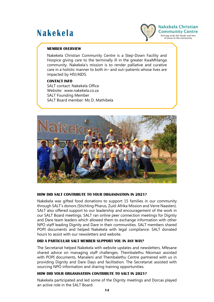### **Nakekela**



#### **MEMBER OVERVIEW**

Nakekela Christian Community Centre is a Step-Down Facility and Hospice giving care to the terminally ill in the greater KwaMhlanga community. Nakekela's mission is to render palliative and curative care in a holistic manner to both in– and out–patients whose lives are impacted by HIV/AIDS.

#### **CONTACT INFO**

SALT contact: Nakekela Office Website: www.nakekela.co.za SALT Founding Member SALT Board member: Ms D. Mathibela



#### **HOW DID SALT CONTRIBUTE TO YOUR ORGANISATION IN 2021?**

Nakekela was gifted food donations to support 15 families in our community through SALT's donors (Stichting Pharus, Zuid-Afrika Mission and Verre Naasten). SALT also offered support to our leadership and encouragement of the work in our SALT Board meetings. SALT ran online peer connection meetings for Digntiy and Dare team leaders which allowed them to exchange information with other NPO staff leading Dignity and Dare in their communities. SALT members shared POPI documents and helped Nakekela with legal compliance. SALT donated hours to assist with our newsletters and website.

#### **DID A PARTICULAR SALT MEMBER SUPPORT YOU IN ANY WAY?**

The Secretariat helped Nakekela with website updates and newsletters. Mfesane shared advice on managing staff challenges. Thembalethu Nkomazi assisted with POPI documents, Manaleni and Thembalethu Centre partnered with us in providing Dignity and Dare Days and facilitation. The Secretariat assisted with sourcing NPO information and sharing training opportunities.

#### **HOW DID YOUR ORGANISATION CONTRIBUTE TO SALT IN 2021?**

Nakekela participated and led some of the Dignity meetings and Dorcas played an active role in the SALT Board.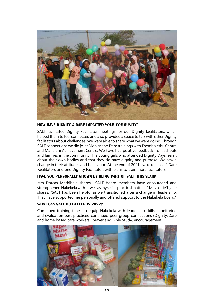

**HOW HAVE DIGNITY & DARE IMPACTED YOUR COMMUNITY?**

SALT facilitated Dignity Facilitator meetings for our Dignity facilitators, which helped them to feel connected and also provided a space to talk with other Dignity facilitators about challenges. We were able to share what we were doing. Through SALT connections we did joint Dignity and Dare trainings with Thembalethu Centre and Manaleni Achievement Centre. We have had positive feedback from schools and families in the community. The young girls who attended Dignity Days learnt about their own bodies and that they do have dignity and purpose. We saw a change in their attitudes and behaviour. At the end of 2021, Nakekela has 2 Dare Facilitators and one Dignity Facilitator, with plans to train more facilitators.

#### **HAVE YOU PERSONALLY GROWN BY BEING PART OF SALT THIS YEAR?**

Mrs Dorcas Mathibela shares: "SALT board members have encouraged and strengthened Nakekela with as well as myself in practical matters." Mrs Lettie Tijane shares: "SALT has been helpful as we transitioned after a change in leadership. They have supported me personally and offered support to the Nakekela Board."

#### **WHAT CAN SALT DO BETTER IN 2022?**

Continued training times to equip Nakekela with leadership skills, monitoring and evaluation best practices, continued peer group connections (Dignity/Dare and home based care workers), prayer and Bible Study, encouragement.

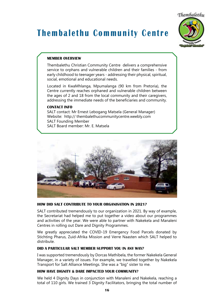Thembalethu

# **Thembalethu Community Centre**



#### **MEMBER OVERVIEW**

Thembalethu Christian Community Centre delivers a comprehensive service to orphans and vulnerable children and their families - from early childhood to teenager years - addressing their physical, spiritual, social, emotional and educational needs.

Located in KwaMhlanga, Mpumalanga (90 km from Pretoria), the Centre currently reaches orphaned and vulnerable children between the ages of 2 and 18 from the local community and their caregivers, addressing the immediate needs of the beneficiaries and community.

#### **CONTACT INFO**

SALT contact: Mr Ernest Lebogang Matsela (General Manager) Website: http:// thembalethucommunitycentre.weebly.com SALT Founding Member SALT Board member: Mr. E. Matsela



#### **HOW DID SALT CONTRIBUTE TO YOUR ORGANISATION IN 2021?**

SALT contributed tremendously to our organization in 2021. By way of example, the Secretariat had helped me to put together a video about our programmes and activities of the year. We were able to partner with Nakekela and Manaleni Centres in rolling out Dare and Dignity Programmes.

We greatly appreciated the COVID-19 Emergency Food Parcels donated by Stichting Pharus, Zuid-Afrika Mission and Verre Naasten which SALT helped to distribute.

#### **DID A PARTICULAR SALT MEMBER SUPPORT YOU IN ANY WAY?**

I was supported tremendously by Dorcas Mathibela, the former Nakekela General Manager, in a variety of issues. For example, we travelled together by Nakekela Transport for Salt Alliance Meetings. She was a "big" sister to me.

#### **HOW HAVE DIGNITY & DARE IMPACTED YOUR COMMUNITY?**

We held 4 Dignity Days in conjunction with Manaleni and Nakekela, reaching a total of 110 girls. We trained 3 Dignity Facilitators, bringing the total number of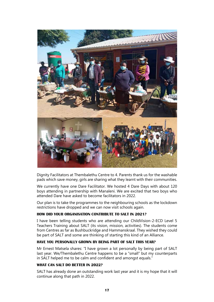

Dignity Facilitators at Thembalethu Centre to 4. Parents thank us for the washable pads which save money, girls are sharing what they learnt with their communities.

We currently have one Dare Facilitator. We hosted 4 Dare Days with about 120 boys attending in partnership with Manaleni. We are excited that two boys who attended Dare have asked to become facilitators in 2022.

Our plan is to take the programmes to the neighbouring schools as the lockdown restrictions have dropped and we can now visit schools again.

#### **HOW DID YOUR ORGANISATION CONTRIBUTE TO SALT IN 2021?**

I have been telling students who are attending our ChildVision-2-ECD Level 5 Teachers Training about SALT (its vision, mission, activities). The students come from Centres as far as Bushbuckridge and Hammanskraal. They wished they could be part of SALT and some are thinking of starting this kind of an Alliance.

#### **HAVE YOU PERSONALLY GROWN BY BEING PART OF SALT THIS YEAR?**

Mr Ernest Matsela shares: "I have grown a lot personally by being part of SALT last year. We/Thembalethu Centre happens to be a "small" but my counterparts in SALT helped me to be calm and confident and amongst equals."

#### **WHAT CAN SALT DO BETTER IN 2022?**

SALT has already done an outstanding work last year and it is my hope that it will continue along that path in 2022.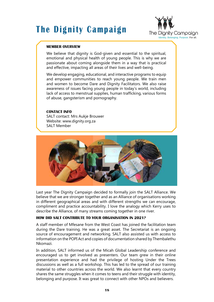# **The Dignity Campaign**



#### **MEMBER OVERVIEW**

We believe that dignity is God-given and essential to the spiritual, emotional and physical health of young people. This is why we are passionate about coming alongside them in a way that is practical and effective, impacting all areas of their lives and well-being.

We develop engaging, educational, and interactive programs to equip and empower communities to reach young people. We train men and women to become Dare and Dignity Facilitators. We also raise awareness of issues facing young people in today's world, including lack of access to menstrual supplies, human trafficking, various forms of abuse, gangsterism and pornography.

#### **CONTACT INFO**

SALT contact: Mrs Aukje Brouwer Website: www.dignity.org.za SALT Member



Last year The Dignity Campaign decided to formally join the SALT Alliance. We believe that we are stronger together and as an Alliance of organisations working in different geographical areas and with different strengths we can encourage, compliment and practice accountability. I love the analogy which Kerry uses to describe the Alliance, of many streams coming together in one river.

#### **HOW DID SALT CONTRIBUTE TO YOUR ORGANISATION IN 2021?**

A staff member of Mfesane from the West Coast has joined the facilitation team during the Dare training. He was a great asset. The Secretariat is an ongoing source of encouragement and networking. SALT also assisted us with access to information on the POPI Act and copies of documentation shared by Thembalethu Nkomazi.

In addition, SALT informed us of the Micah Global Leadership conference and encouraged us to get involved as presenters. Our team grew in their online presentation experience and had the privilege of hosting Under the Trees discussions as well as a full workshop. This has led to the spread of our training material to other countries across the world. We also learnt that every country shares the same struggles when it comes to teens and their struggle with identity, belonging and purpose. It was great to connect with other NPOs and believers.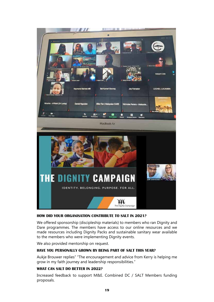![](_page_18_Picture_0.jpeg)

#### **HOW DID YOUR ORGANISATION CONTRIBUTE TO SALT IN 2021?**

We offered sponsorship (discipleship materials) to members who ran Dignity and Dare programmes. The members have access to our online resources and we made resources including Dignity Packs and sustainable sanitary wear available to the members who were implementing Dignity events.

We also provided mentorship on request.

#### **HAVE YOU PERSONALLY GROWN BY BEING PART OF SALT THIS YEAR?**

Aukje Brouwer replies" "The encouragement and advice from Kerry is helping me grow in my faith journey and leadership responsibilities."

#### **WHAT CAN SALT DO BETTER IN 2022?**

Increased feedback to support M&E. Combined DC / SALT Members funding proposals.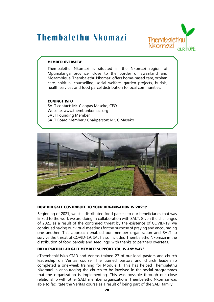### **Thembalethu Nkomazi**

![](_page_19_Picture_1.jpeg)

#### **MEMBER OVERVIEW**

Thembalethu Nkomazi is situated in the Nkomazi region of Mpumalanga province, close to the border of Swaziland and Mozambique. Thembalethu Nkomazi offers home-based care, orphan care, spiritual counselling, social welfare, garden projects, burials, health services and food parcel distribution to local communities.

#### **CONTACT INFO**

SALT contact: Mr. Cleopas Maseko, CEO Website: www.thembunkomazi.org SALT Founding Member SALT Board Member / Chairperson: Mr. C Maseko

![](_page_19_Picture_6.jpeg)

#### **HOW DID SALT CONTRIBUTE TO YOUR ORGANISATION IN 2021?**

Beginning of 2021, we still distributed food parcels to our beneficiaries that was linked to the work we are doing in collaboration with SALT. Given the challenges of 2021 as a result of the continued threat by the existence of COVID-19, we continued having our virtual meetings for the purpose of praying and encouraging one another. This approach enabled our member organization and SALT to survive the threat of COVID-19. SALT also included Thembalethu Nkomazi in the distribution of food parcels and seedlings, with thanks to partners overseas.

#### **DID A PARTICULAR SALT MEMBER SUPPORT YOU IN ANY WAY?**

eThembeni/Usizo CMD and Veritas trained 27 of our local pastors and church leadership on Veritas course. The trained pastors and church leadership completed a one-week training for Module 1. This has helped Thembalethu Nkomazi in encouraging the church to be involved in the social programmes that the organization is implementing. This was possible through our close relationship with other SALT member organizations. Thembalethu Nkomazi was able to facilitate the Veritas course as a result of being part of the SALT family.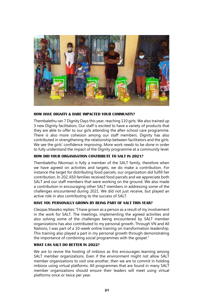![](_page_20_Picture_0.jpeg)

#### **HOW HAVE DIGNITY & DARE IMPACTED YOUR COMMUNITY?**

Thembalethu ran 7 Dignity Days this year, reaching 110 girls. We also trained up 3 new Dignity facilitators. Our staff is excited to have a variety of products that they are able to offer to our girls attending the after-school care programme. There is also more cohesion among our staff members. Dignity has also contributed in strengthening the relationship between facilitators and the girls. We see the girls' confidence improving. More work needs to be done in order to fully understand the impact of the Dignity programme at a community level.

#### **HOW DID YOUR ORGANISATION CONTRIBUTE TO SALT IN 2021?**

Thembalethu Nkomazi is fully a member of the SALT family, therefore when we have agreed on activities and targets, we do make a contribution. For instance the target for distributing food parcels, our organization did fulfill her contribution. In 202, 650 families received food parcels and we appreciate both SALT and our staff members that were working on the ground. We also made a contribution in encouraging other SALT members in addressing some of the challenges encountered during 2021. We did not just receive, but played an active role in also contributing to the success of SALT.

#### **HAVE YOU PERSONALLY GROWN BY BEING PART OF SALT THIS YEAR?**

Cleopas Maseko replies: "I have grown as a person as a result of my involvement in the work for SALT. The meetings, implementing the agreed activities and also solving some of the challenges being encountered by SALT member organizations has also contributed to my personal growth. Through VN and All Nations, I was part of a 10-week online training on transformation leadership. This training also played a part in my personal growth through demonstrating the importance of combining social programmes with the gospel."

#### **WHAT CAN SALT DO BETTER IN 2022?**

We are to revive the hosting of imbizos as this encourages learning among SALT member organizations. Even if the environment might not allow SALT member organizations to visit one another, then we are to commit in holding imbizos using virtual platforms. All programmes that are found in many SALT member organizations should ensure their leaders will meet using virtual platforms once or twice per year.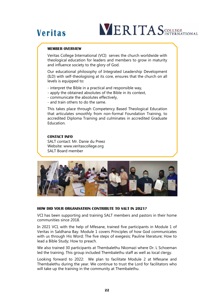# **Veritas**

# **VERITAS** COLLEGE

#### **MEMBER OVERVIEW**

Veritas College International (VCI) serves the church worldwide with theological education for leaders and members to grow in maturity and influence society to the glory of God.

Our educational philosophy of Integrated Leadership Development (ILD) with self-theologising at its core, ensures that the church on all levels is equipped to:

- interpret the Bible in a practical and responsible way,
- apply the obtained absolutes of the Bible in its context,
- communicate the absolutes effectively,
- and train others to do the same.

This takes place through Competency Based Theological Education that articulates smoothly from non-formal Foundation Training, to accredited Diploma Training and culminates in accredited Graduate **Education** 

#### **CONTACT INFO**

SALT contact: Mr. Danie du Preez Website: www.veritascollege.org SALT Board member

![](_page_21_Picture_12.jpeg)

#### **HOW DID YOUR ORGANISATION CONTRIBUTE TO SALT IN 2021?**

VCI has been supporting and training SALT members and pastors in their home communities since 2018.

In 2021 VCI, with the help of Mfesane, trained five participants in Module 1 of Veritas in Saldhana Bay. Module 1 covers Principles of how God communicates with us through His Word; The five steps of exegesis; Pauline literature; How to lead a Bible Study; How to preach.

We also trained 30 participants at Thembalethu Nkomazi where Dr. L Schoeman led the training. This group included Thembalethu staff as well as local clergy.

Looking forward to 2022: We plan to facilitate Module 2 at Mfesane and Thembalethu during the year. We continue to trust the Lord for facilitators who will take up the training in the community at Thembalethu.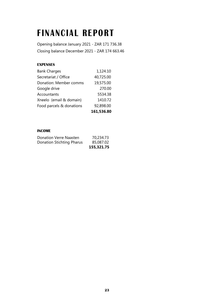# **FINANCIAL REPORT**

Opening balance January 2021 - ZAR 171 736.38 Closing balance December 2021 - ZAR 174 663.46

#### **EXPENSES**

| <b>Bank Charges</b>      | 1,124.10   |
|--------------------------|------------|
| Secretariat / Office     | 40,725.00  |
| Donation: Member comms   | 19,575.00  |
| Google drive             | 270.00     |
| Accountants              | 5534.38    |
| Xneelo (email & domain)  | 1410.72    |
| Food parcels & donations | 92,898.00  |
|                          | 161,536.80 |

#### **INCOME**

| 155,321.75 |
|------------|
| 85,087.02  |
| 70,234.73  |
|            |